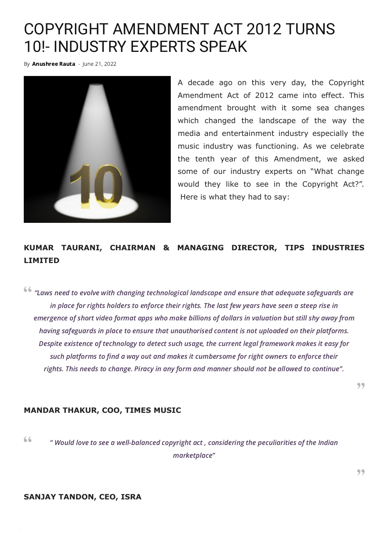# COPYRIGHT AMENDMENT ACT 2012 TURNS 10!- INDUSTRY EXPERTS SPEAK

By **[Anushree](https://iprmentlaw.com/author/anushree/) Rauta** - June 21, 2022



A decade ago on this very day, the Copyright Amendment Act of 2012 came into effect. This amendment brought with it some sea changes which changed the landscape of the way the media and entertainment industry especially the music industry was functioning. As we celebrate the tenth year of this Amendment, we asked some of our industry experts on "What change would they like to see in the Copyright Act?". Here is what they had to say:

### **KUMAR TAURANI, CHAIRMAN & MANAGING DIRECTOR, TIPS INDUSTRIES LIMITED**

"Laws need to evolve with changing technological landscape and ensure that adequate safeguards are in place for rights holders to enforce their rights. The last few years have seen a steep rise in emergence of short video format apps who make billions of dollars in valuation but still shy away from having safeguards in place to ensure that unauthorised content is not uploaded on their platforms. Despite existence of technology to detect such usage, the current legal framework makes it easy for such platforms to find a way out and makes it cumbersome for right owners to enforce their rights. This needs to change. Piracy in any form and manner should not be allowed to continue".

99

99

#### **MANDAR THAKUR, COO, TIMES MUSIC**

66 " Would love to see a well-balanced copyright act , considering the peculiarities of the Indian marketplace"

#### **SANJAY TANDON, CEO, ISRA**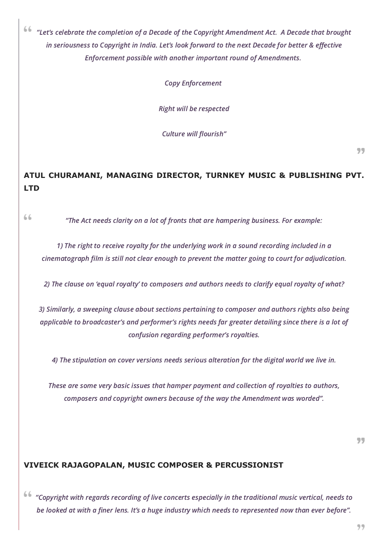66 "Let's celebrate the completion of a Decade of the Copyright Amendment Act. A Decade that brought in seriousness to Copyright in India. Let's look forward to the next Decade for better & effective Enforcement possible with another important round of Amendments.

Copy Enforcement

Right will be respected

Culture will flourish"

99

### **ATUL CHURAMANI, MANAGING DIRECTOR, TURNKEY MUSIC & PUBLISHING PVT. LTD**

"The Act needs clarity on a lot of fronts that are hampering business. For example:

66

1) The right to receive royalty for the underlying work in a sound recording included in a cinematograph film is still not clear enough to prevent the matter going to court for adjudication.

2) The clause on 'equal royalty' to composers and authors needs to clarify equal royalty of what?

3) Similarly, a sweeping clause about sections pertaining to composer and authors rights also being applicable to broadcaster's and performer's rights needs far greater detailing since there is a lot of confusion regarding performer's royalties.

4) The stipulation on cover versions needs serious alteration for the digital world we live in.

These are some very basic issues that hamper payment and collection of royalties to authors, composers and copyright owners because of the way the Amendment was worded".

99

#### **VIVEICK RAJAGOPALAN, MUSIC COMPOSER & PERCUSSIONIST**

"Copyright with regards recording of live concerts especially in the traditional music vertical, needs to be looked at with a finer lens. It's a huge industry which needs to represented now than ever before".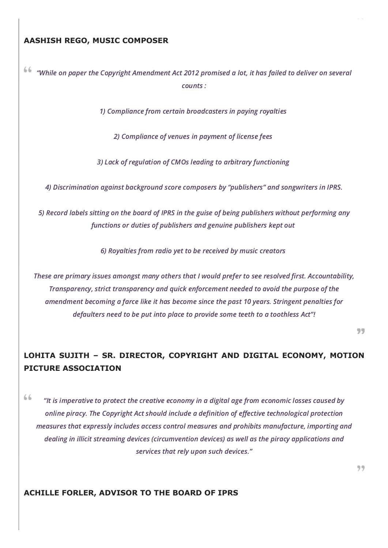#### **AASHISH REGO, MUSIC COMPOSER**

66 "While on paper the Copyright Amendment Act 2012 promised a lot, it has failed to deliver on several counts :

1) Compliance from certain broadcasters in paying royalties

2) Compliance of venues in payment of license fees

3) Lack of regulation of CMOs leading to arbitrary functioning

4) Discrimination against background score composers by "publishers" and songwriters in IPRS.

5) Record labels sitting on the board of IPRS in the guise of being publishers without performing any functions or duties of publishers and genuine publishers kept out

6) Royalties from radio yet to be received by music creators

These are primary issues amongst many others that I would prefer to see resolved first. Accountability, Transparency, strict transparency and quick enforcement needed to avoid the purpose of the amendment becoming a farce like it has become since the past 10 years. Stringent penalties for defaulters need to be put into place to provide some teeth to a toothless Act"!

99

### **LOHITA SUJITH – SR. DIRECTOR, COPYRIGHT AND DIGITAL ECONOMY, MOTION PICTURE ASSOCIATION**

66 "It is imperative to protect the creative economy in a digital age from economic losses caused by online piracy. The Copyright Act should include a definition of effective technological protection measures that expressly includes access control measures and prohibits manufacture, importing and dealing in illicit streaming devices (circumvention devices) as well as the piracy applications and services that rely upon such devices."

**ACHILLE FORLER, ADVISOR TO THE BOARD OF IPRS**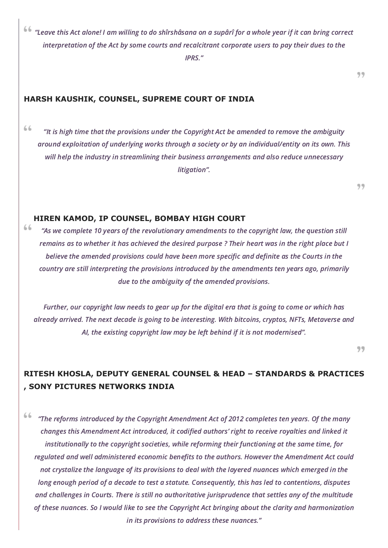"Leave this Act alone! I am willing to do shîrshâsana on a supârî for a whole year if it can bring correct interpretation of the Act by some courts and recalcitrant corporate users to pay their dues to the IPRS."

#### **HARSH KAUSHIK, COUNSEL, SUPREME COURT OF INDIA**

66 "It is high time that the provisions under the Copyright Act be amended to remove the ambiguity around exploitation of underlying works through a society or by an individual/entity on its own. This will help the industry in streamlining their business arrangements and also reduce unnecessary litigation".

**HIREN KAMOD, IP COUNSEL, BOMBAY HIGH COURT**

66

"As we complete 10 years of the revolutionary amendments to the copyright law, the question still remains as to whether it has achieved the desired purpose ? Their heart was in the right place but I believe the amended provisions could have been more specific and definite as the Courts in the country are still interpreting the provisions introduced by the amendments ten years ago, primarily due to the ambiguity of the amended provisions.

Further, our copyright law needs to gear up for the digital era that is going to come or which has already arrived. The next decade is going to be interesting. With bitcoins, cryptos, NFTs, Metaverse and AI, the existing copyright law may be left behind if it is not modernised".

99

### **RITESH KHOSLA, DEPUTY GENERAL COUNSEL & HEAD – STANDARDS & PRACTICES , SONY PICTURES NETWORKS INDIA**

66 "The reforms introduced by the Copyright Amendment Act of 2012 completes ten years. Of the many changes this Amendment Act introduced, it codified authors' right to receive royalties and linked it institutionally to the copyright societies, while reforming their functioning at the same time, for regulated and well administered economic benefits to the authors. However the Amendment Act could not crystalize the language of its provisions to deal with the layered nuances which emerged in the long enough period of a decade to test a statute. Consequently, this has led to contentions, disputes and challenges in Courts. There is still no authoritative jurisprudence that settles any of the multitude of these nuances. So I would like to see the Copyright Act bringing about the clarity and harmonization in its provisions to address these nuances."

99

99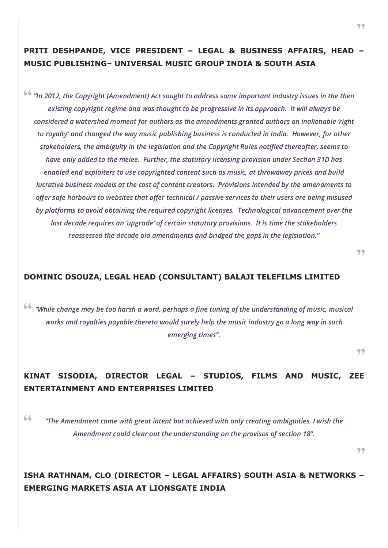### **PRITI DESHPANDE, VICE PRESIDENT – LEGAL & BUSINESS AFFAIRS, HEAD – MUSIC PUBLISHING– UNIVERSAL MUSIC GROUP INDIA & SOUTH ASIA**

"In 2012, the Copyright (Amendment) Act sought to address some important industry issues in the then existing copyright regime and was thought to be progressive in its approach. It will always be considered a watershed moment for authors as the amendments granted authors an inalienable 'right to royalty' and changed the way music publishing business is conducted in India. However, for other stakeholders, the ambiguity in the legislation and the Copyright Rules notified thereafter, seems to have only added to the melee. Further, the statutory licensing provision under Section 31D has enabled end exploiters to use copyrighted content such as music, at throwaway prices and build lucrative business models at the cost of content creators. Provisions intended by the amendments to offer safe harbours to websites that offer technical / passive services to their users are being misused by platforms to avoid obtaining the required copyright licenses. Technological advancement over the last decade requires an 'upgrade' of certain statutory provisions. It is time the stakeholders reassessed the decade old amendments and bridged the gaps in the legislation."

99

#### **DOMINIC DSOUZA, LEGAL HEAD (CONSULTANT) BALAJI TELEFILMS LIMITED**

"While change may be too harsh a word, perhaps a fine tuning of the understanding of music, musical works and royalties payable thereto would surely help the music industry go a long way in such emerging times".

99

99

### **KINAT SISODIA, DIRECTOR LEGAL – STUDIOS, FILMS AND MUSIC, ZEE ENTERTAINMENT AND ENTERPRISES LIMITED**

66

"The Amendment came with great intent but achieved with only creating ambiguities. I wish the Amendment could clear out the understanding on the provisos of section 18".

**ISHA RATHNAM, CLO (DIRECTOR – LEGAL AFFAIRS) SOUTH ASIA & NETWORKS – EMERGING MARKETS ASIA AT LIONSGATE INDIA**

99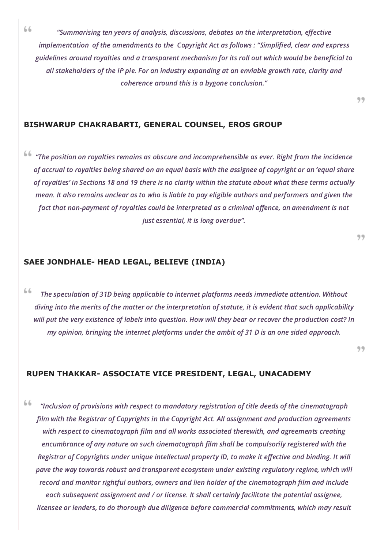"Summarising ten years of analysis, discussions, debates on the interpretation, effective implementation of the amendments to the Copyright Act as follows : "Simplified, clear and express guidelines around royalties and a transparent mechanism for its roll out which would be beneficial to all stakeholders of the IP pie. For an industry expanding at an enviable growth rate, clarity and coherence around this is a bygone conclusion."

#### **BISHWARUP CHAKRABARTI, GENERAL COUNSEL, EROS GROUP**

66 "The position on royalties remains as obscure and incomprehensible as ever. Right from the incidence of accrual to royalties being shared on an equal basis with the assignee of copyright or an 'equal share of royalties' in Sections 18 and 19 there is no clarity within the statute about what these terms actually mean. It also remains unclear as to who is liable to pay eligible authors and performers and given the fact that non-payment of royalties could be interpreted as a criminal offence, an amendment is not just essential, it is long overdue".

#### **SAEE JONDHALE- HEAD LEGAL, BELIEVE (INDIA)**

66 The speculation of 31D being applicable to internet platforms needs immediate attention. Without diving into the merits of the matter or the interpretation of statute, it is evident that such applicability will put the very existence of labels into question. How will they bear or recover the production cost? In my opinion, bringing the internet platforms under the ambit of 31 D is an one sided approach.

#### **RUPEN THAKKAR- ASSOCIATE VICE PRESIDENT, LEGAL, UNACADEMY**

66 "Inclusion of provisions with respect to mandatory registration of title deeds of the cinematograph film with the Registrar of Copyrights in the Copyright Act. All assignment and production agreements with respect to cinematograph film and all works associated therewith, and agreements creating encumbrance of any nature on such cinematograph film shall be compulsorily registered with the Registrar of Copyrights under unique intellectual property ID, to make it effective and binding. It will pave the way towards robust and transparent ecosystem under existing regulatory regime, which will record and monitor rightful authors, owners and lien holder of the cinematograph film and include each subsequent assignment and / or license. It shall certainly facilitate the potential assignee, licensee or lenders, to do thorough due diligence before commercial commitments, which may result

99

99

99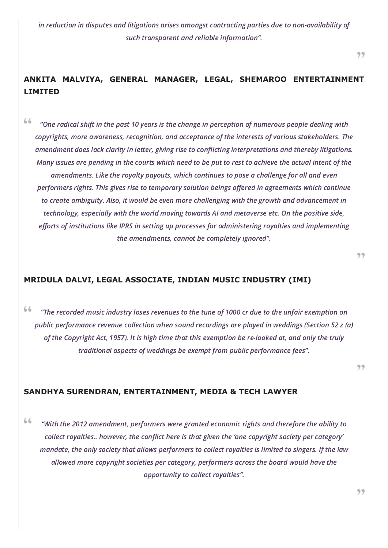in reduction in disputes and litigations arises amongst contracting parties due to non-availability of such transparent and reliable information".

#### 99

99

99

### **ANKITA MALVIYA, GENERAL MANAGER, LEGAL, SHEMAROO ENTERTAINMENT LIMITED**

66 "One radical shift in the past 10 years is the change in perception of numerous people dealing with copyrights, more awareness, recognition, and acceptance of the interests of various stakeholders. The amendment does lack clarity in letter, giving rise to conflicting interpretations and thereby litigations. Many issues are pending in the courts which need to be put to rest to achieve the actual intent of the amendments. Like the royalty payouts, which continues to pose a challenge for all and even performers rights. This gives rise to temporary solution beings offered in agreements which continue to create ambiguity. Also, it would be even more challenging with the growth and advancement in technology, especially with the world moving towards AI and metaverse etc. On the positive side, efforts of institutions like IPRS in setting up processes for administering royalties and implementing the amendments, cannot be completely ignored".

#### **MRIDULA DALVI, LEGAL ASSOCIATE, INDIAN MUSIC INDUSTRY (IMI)**

66 "The recorded music industry loses revenues to the tune of 1000 cr due to the unfair exemption on public performance revenue collection when sound recordings are played in weddings (Section 52 z (a) of the Copyright Act, 1957). It is high time that this exemption be re-looked at, and only the truly traditional aspects of weddings be exempt from public performance fees".

#### **SANDHYA SURENDRAN, ENTERTAINMENT, MEDIA & TECH LAWYER**

66 "With the 2012 amendment, performers were granted economic rights and therefore the ability to collect royalties.. however, the conflict here is that given the 'one copyright society per category' mandate, the only society that allows performers to collect royalties is limited to singers. If the law allowed more copyright societies per category, performers across the board would have the opportunity to collect royalties".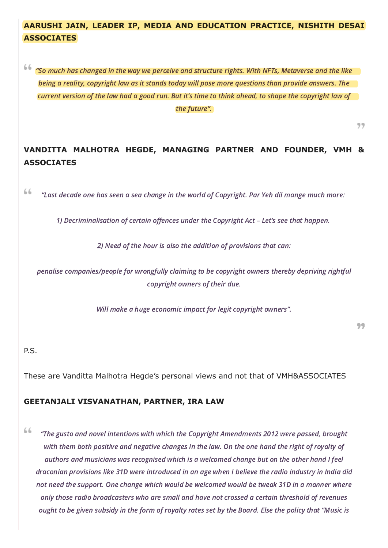### **AARUSHI JAIN, LEADER IP, MEDIA AND EDUCATION PRACTICE, NISHITH DESAI ASSOCIATES**

66 "So much has changed in the way we perceive and structure rights. With NFTs, Metaverse and the like being a reality, copyright law as it stands today will pose more questions than provide answers. The current version of the law had a good run. But it's time to think ahead, to shape the copyright law of the future".

99

## **VANDITTA MALHOTRA HEGDE, MANAGING PARTNER AND FOUNDER, VMH & ASSOCIATES**

66 "Last decade one has seen a sea change in the world of Copyright. Par Yeh dil mange much more:

1) Decriminalisation of certain offences under the Copyright Act – Let's see that happen.

2) Need of the hour is also the addition of provisions that can:

penalise companies/people for wrongfully claiming to be copyright owners thereby depriving rightful copyright owners of their due.

Will make a huge economic impact for legit copyright owners".

#### P.S.

These are Vanditta Malhotra Hegde's personal views and not that of VMH&ASSOCIATES

#### **GEETANJALI VISVANATHAN, PARTNER, IRA LAW**

66 "The gusto and novel intentions with which the Copyright Amendments 2012 were passed, brought with them both positive and negative changes in the law. On the one hand the right of royalty of authors and musicians was recognised which is a welcomed change but on the other hand I feel draconian provisions like 31D were introduced in an age when I believe the radio industry in India did not need the support. One change which would be welcomed would be tweak 31D in a manner where only those radio broadcasters who are small and have not crossed a certain threshold of revenues ought to be given subsidy in the form of royalty rates set by the Board. Else the policy that "Music is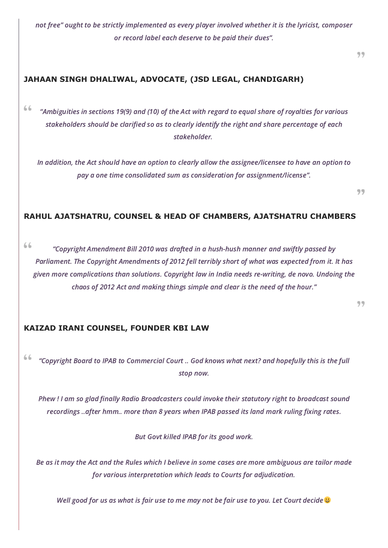not free" ought to be strictly implemented as every player involved whether it is the lyricist, composer or record label each deserve to be paid their dues".

### **JAHAAN SINGH DHALIWAL, ADVOCATE, (JSD LEGAL, CHANDIGARH)**

66 "Ambiguities in sections 19(9) and (10) of the Act with regard to equal share of royalties for various stakeholders should be clarified so as to clearly identify the right and share percentage of each stakeholder.

In addition, the Act should have an option to clearly allow the assignee/licensee to have an option to pay a one time consolidated sum as consideration for assignment/license".

99

99

#### **RAHUL AJATSHATRU, COUNSEL & HEAD OF CHAMBERS, AJATSHATRU CHAMBERS**

66 "Copyright Amendment Bill 2010 was drafted in a hush-hush manner and swiftly passed by Parliament. The Copyright Amendments of 2012 fell terribly short of what was expected from it. It has given more complications than solutions. Copyright law in India needs re-writing, de novo. Undoing the chaos of 2012 Act and making things simple and clear is the need of the hour."

99

#### **KAIZAD IRANI COUNSEL, FOUNDER KBI LAW**

66 "Copyright Board to IPAB to Commercial Court .. God knows what next? and hopefully this is the full stop now.

Phew ! I am so glad finally Radio Broadcasters could invoke their statutory right to broadcast sound recordings ..after hmm.. more than 8 years when IPAB passed its land mark ruling fixing rates.

But Govt killed IPAB for its good work.

Be as it may the Act and the Rules which I believe in some cases are more ambiguous are tailor made for various interpretation which leads to Courts for adjudication.

Well good for us as what is fair use to me may not be fair use to you. Let Court decide  $\mathbf G$